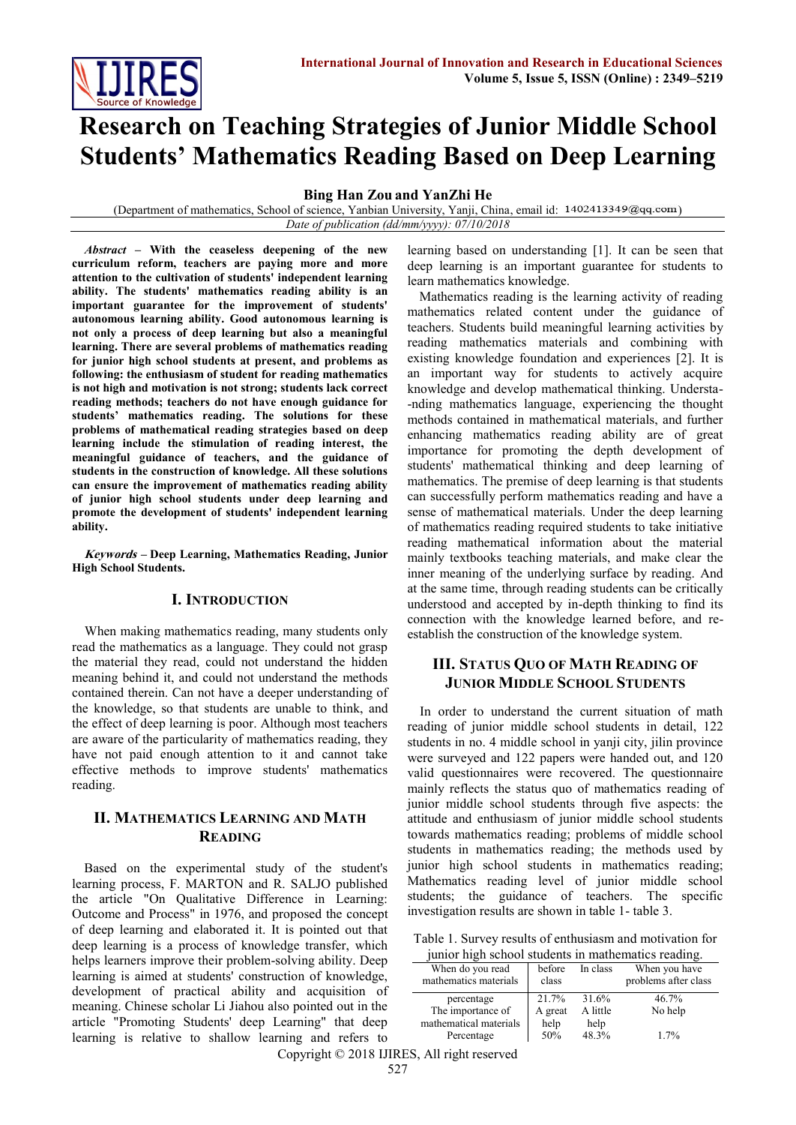

# **Research on Teaching Strategies of Junior Middle School Students' Mathematics Reading Based on Deep Learning**

**Bing Han Zou and YanZhi He**

(Department of mathematics, School of science, Yanbian University, Yanji, China, email id: 1402413349@qq.com) *Date of publication (dd/mm/yyyy): 07/10/2018*

*Abstract –* **With the ceaseless deepening of the new curriculum reform, teachers are paying more and more attention to the cultivation of students' independent learning ability. The students' mathematics reading ability is an important guarantee for the improvement of students' autonomous learning ability. Good autonomous learning is not only a process of deep learning but also a meaningful learning. There are several problems of mathematics reading for junior high school students at present, and problems as following: the enthusiasm of student for reading mathematics is not high and motivation is not strong; students lack correct reading methods; teachers do not have enough guidance for students' mathematics reading. The solutions for these problems of mathematical reading strategies based on deep learning include the stimulation of reading interest, the meaningful guidance of teachers, and the guidance of students in the construction of knowledge. All these solutions can ensure the improvement of mathematics reading ability of junior high school students under deep learning and promote the development of students' independent learning ability.**

**Keywords – Deep Learning, Mathematics Reading, Junior High School Students.**

#### **I. INTRODUCTION**

When making mathematics reading, many students only read the mathematics as a language. They could not grasp the material they read, could not understand the hidden meaning behind it, and could not understand the methods contained therein. Can not have a deeper understanding of the knowledge, so that students are unable to think, and the effect of deep learning is poor. Although most teachers are aware of the particularity of mathematics reading, they have not paid enough attention to it and cannot take effective methods to improve students' mathematics reading.

## **II. MATHEMATICS LEARNING AND MATH READING**

Based on the experimental study of the student's learning process, F. MARTON and R. SALJO published the article "On Qualitative Difference in Learning: Outcome and Process" in 1976, and proposed the concept of deep learning and elaborated it. It is pointed out that deep learning is a process of knowledge transfer, which helps learners improve their problem-solving ability. Deep learning is aimed at students' construction of knowledge, development of practical ability and acquisition of meaning. Chinese scholar Li Jiahou also pointed out in the article "Promoting Students' deep Learning" that deep learning is relative to shallow learning and refers to learning based on understanding [1]. It can be seen that deep learning is an important guarantee for students to learn mathematics knowledge.

Mathematics reading is the learning activity of reading mathematics related content under the guidance of teachers. Students build meaningful learning activities by reading mathematics materials and combining with existing knowledge foundation and experiences [2]. It is an important way for students to actively acquire knowledge and develop mathematical thinking. Understa- -nding mathematics language, experiencing the thought methods contained in mathematical materials, and further enhancing mathematics reading ability are of great importance for promoting the depth development of students' mathematical thinking and deep learning of mathematics. The premise of deep learning is that students can successfully perform mathematics reading and have a sense of mathematical materials. Under the deep learning of mathematics reading required students to take initiative reading mathematical information about the material mainly textbooks teaching materials, and make clear the inner meaning of the underlying surface by reading. And at the same time, through reading students can be critically understood and accepted by in-depth thinking to find its connection with the knowledge learned before, and reestablish the construction of the knowledge system.

# **III. STATUS QUO OF MATH READING OF JUNIOR MIDDLE SCHOOL STUDENTS**

In order to understand the current situation of math reading of junior middle school students in detail, 122 students in no. 4 middle school in yanji city, jilin province were surveyed and 122 papers were handed out, and 120 valid questionnaires were recovered. The questionnaire mainly reflects the status quo of mathematics reading of junior middle school students through five aspects: the attitude and enthusiasm of junior middle school students towards mathematics reading; problems of middle school students in mathematics reading; the methods used by junior high school students in mathematics reading; Mathematics reading level of junior middle school students; the guidance of teachers. The specific investigation results are shown in table 1- table 3.

Table 1. Survey results of enthusiasm and motivation for junior high school students in mathematics reading.

| When do you read<br>mathematics materials | before<br>class | In class | When you have<br>problems after class |
|-------------------------------------------|-----------------|----------|---------------------------------------|
| percentage                                | 21.7%           | 31.6%    | 46.7%                                 |
| The importance of                         | A great         | A little | No help                               |
| mathematical materials                    | help            | help     |                                       |
| Percentage                                | 50%             | 48.3%    | 1.7%                                  |

Copyright © 2018 IJIRES, All right reserved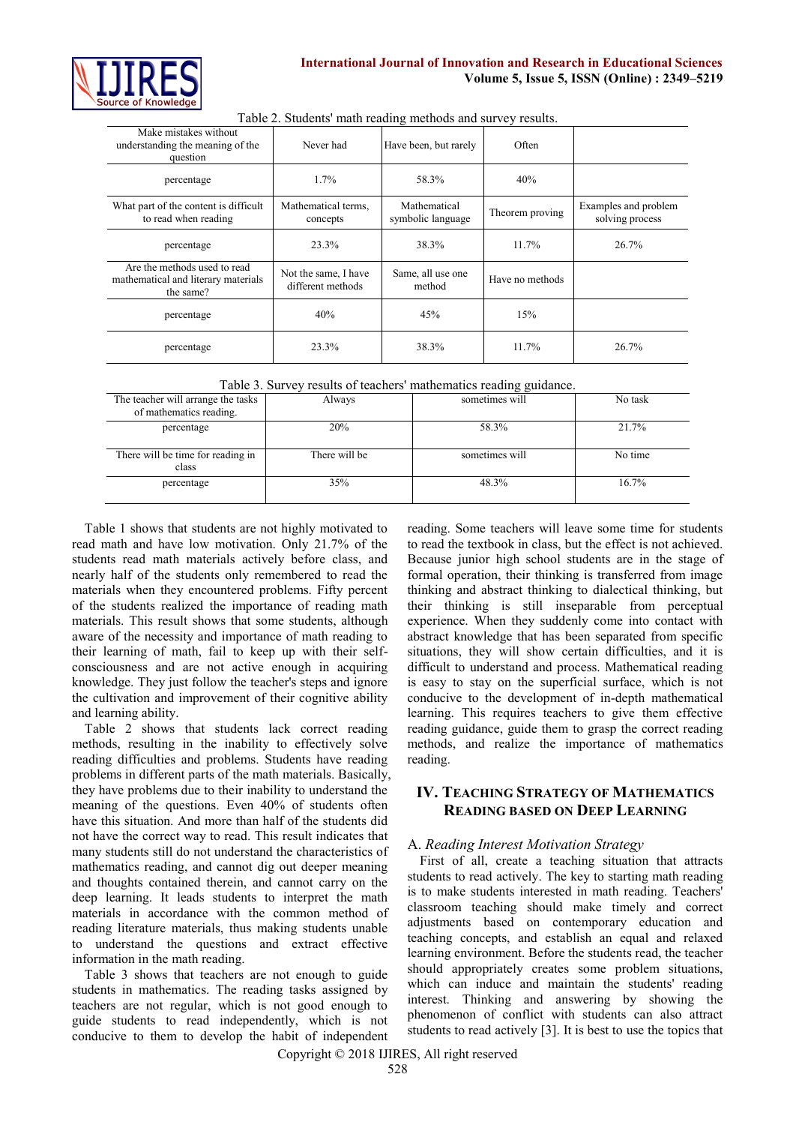

| Make mistakes without<br>understanding the meaning of the<br>Never had<br>Have been, but rarely<br>Often<br>question<br>1.7%<br>58.3%<br>40%<br>percentage<br>Mathematical<br>What part of the content is difficult<br>Mathematical terms,<br>Examples and problem<br>Theorem proving<br>to read when reading<br>solving process<br>symbolic language<br>concepts<br>38.3%<br>23.3%<br>11.7%<br>26.7%<br>percentage<br>Are the methods used to read<br>Not the same, I have<br>Same, all use one |                                     |                   |                 |  |
|--------------------------------------------------------------------------------------------------------------------------------------------------------------------------------------------------------------------------------------------------------------------------------------------------------------------------------------------------------------------------------------------------------------------------------------------------------------------------------------------------|-------------------------------------|-------------------|-----------------|--|
|                                                                                                                                                                                                                                                                                                                                                                                                                                                                                                  |                                     |                   |                 |  |
|                                                                                                                                                                                                                                                                                                                                                                                                                                                                                                  |                                     |                   |                 |  |
|                                                                                                                                                                                                                                                                                                                                                                                                                                                                                                  |                                     |                   |                 |  |
|                                                                                                                                                                                                                                                                                                                                                                                                                                                                                                  |                                     |                   |                 |  |
| method<br>the same?                                                                                                                                                                                                                                                                                                                                                                                                                                                                              | mathematical and literary materials | different methods | Have no methods |  |
| 40%<br>15%<br>45%<br>percentage                                                                                                                                                                                                                                                                                                                                                                                                                                                                  |                                     |                   |                 |  |
| 23.3%<br>38.3%<br>$11.7\%$<br>26.7%<br>percentage                                                                                                                                                                                                                                                                                                                                                                                                                                                |                                     |                   |                 |  |

Table 2. Students' math reading methods and survey results.

|  |  | Table 3. Survey results of teachers' mathematics reading guidance. |
|--|--|--------------------------------------------------------------------|
|  |  |                                                                    |

|                                                               |               | --- <i>o o</i> --------- |         |
|---------------------------------------------------------------|---------------|--------------------------|---------|
| The teacher will arrange the tasks<br>of mathematics reading. | Always        | sometimes will           | No task |
|                                                               |               |                          |         |
| percentage                                                    | 20%           | 58.3%                    | 21.7%   |
| There will be time for reading in<br>class                    | There will be | sometimes will           | No time |
| percentage                                                    | 35%           | 48.3%                    | 16.7%   |

Table 1 shows that students are not highly motivated to read math and have low motivation. Only 21.7% of the students read math materials actively before class, and nearly half of the students only remembered to read the materials when they encountered problems. Fifty percent of the students realized the importance of reading math materials. This result shows that some students, although aware of the necessity and importance of math reading to their learning of math, fail to keep up with their selfconsciousness and are not active enough in acquiring knowledge. They just follow the teacher's steps and ignore the cultivation and improvement of their cognitive ability and learning ability.

Table 2 shows that students lack correct reading methods, resulting in the inability to effectively solve reading difficulties and problems. Students have reading problems in different parts of the math materials. Basically, they have problems due to their inability to understand the meaning of the questions. Even 40% of students often have this situation. And more than half of the students did not have the correct way to read. This result indicates that many students still do not understand the characteristics of mathematics reading, and cannot dig out deeper meaning and thoughts contained therein, and cannot carry on the deep learning. It leads students to interpret the math materials in accordance with the common method of reading literature materials, thus making students unable to understand the questions and extract effective information in the math reading.

Table 3 shows that teachers are not enough to guide students in mathematics. The reading tasks assigned by teachers are not regular, which is not good enough to guide students to read independently, which is not conducive to them to develop the habit of independent reading. Some teachers will leave some time for students to read the textbook in class, but the effect is not achieved. Because junior high school students are in the stage of formal operation, their thinking is transferred from image thinking and abstract thinking to dialectical thinking, but their thinking is still inseparable from perceptual experience. When they suddenly come into contact with abstract knowledge that has been separated from specific situations, they will show certain difficulties, and it is difficult to understand and process. Mathematical reading is easy to stay on the superficial surface, which is not conducive to the development of in-depth mathematical learning. This requires teachers to give them effective reading guidance, guide them to grasp the correct reading methods, and realize the importance of mathematics reading.

# **IV. TEACHING STRATEGY OF MATHEMATICS READING BASED ON DEEP LEARNING**

# A. *Reading Interest Motivation Strategy*

First of all, create a teaching situation that attracts students to read actively. The key to starting math reading is to make students interested in math reading. Teachers' classroom teaching should make timely and correct adjustments based on contemporary education and teaching concepts, and establish an equal and relaxed learning environment. Before the students read, the teacher should appropriately creates some problem situations, which can induce and maintain the students' reading interest. Thinking and answering by showing the phenomenon of conflict with students can also attract students to read actively [3]. It is best to use the topics that

Copyright © 2018 IJIRES, All right reserved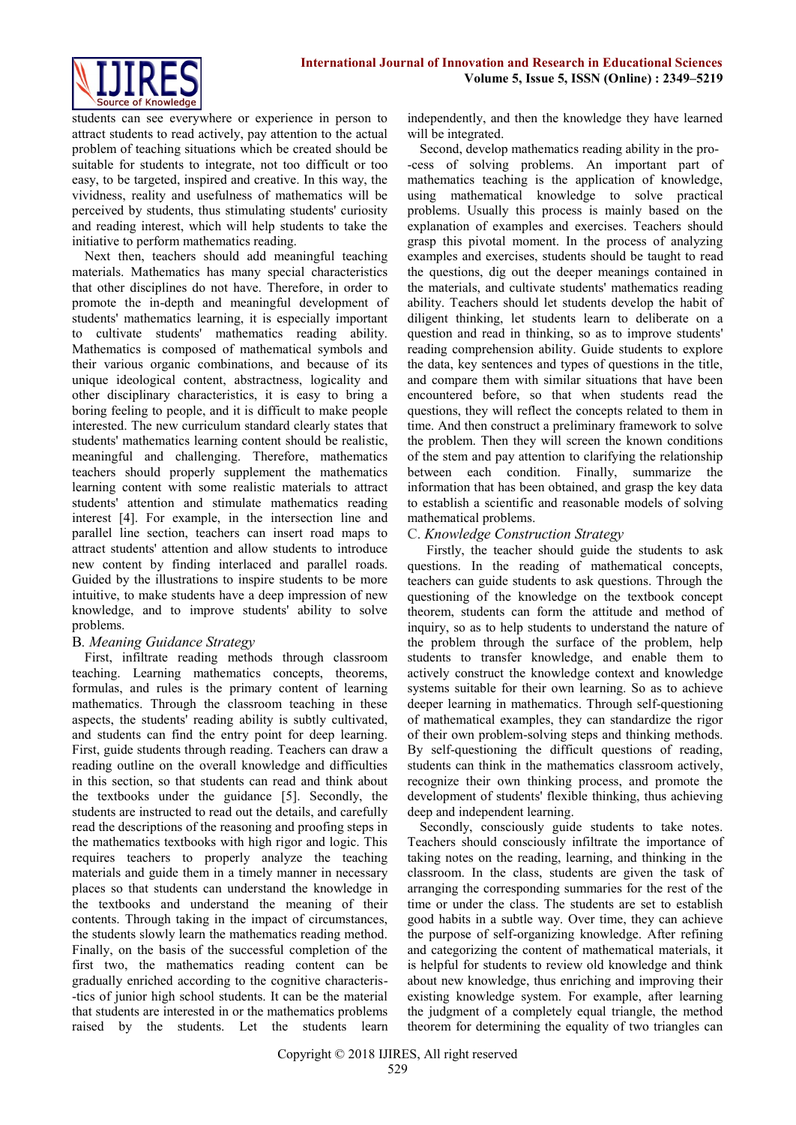

students can see everywhere or experience in person to attract students to read actively, pay attention to the actual problem of teaching situations which be created should be suitable for students to integrate, not too difficult or too easy, to be targeted, inspired and creative. In this way, the vividness, reality and usefulness of mathematics will be perceived by students, thus stimulating students' curiosity and reading interest, which will help students to take the initiative to perform mathematics reading.

Next then, teachers should add meaningful teaching materials. Mathematics has many special characteristics that other disciplines do not have. Therefore, in order to promote the in-depth and meaningful development of students' mathematics learning, it is especially important to cultivate students' mathematics reading ability. Mathematics is composed of mathematical symbols and their various organic combinations, and because of its unique ideological content, abstractness, logicality and other disciplinary characteristics, it is easy to bring a boring feeling to people, and it is difficult to make people interested. The new curriculum standard clearly states that students' mathematics learning content should be realistic, meaningful and challenging. Therefore, mathematics teachers should properly supplement the mathematics learning content with some realistic materials to attract students' attention and stimulate mathematics reading interest [4]. For example, in the intersection line and parallel line section, teachers can insert road maps to attract students' attention and allow students to introduce new content by finding interlaced and parallel roads. Guided by the illustrations to inspire students to be more intuitive, to make students have a deep impression of new knowledge, and to improve students' ability to solve problems.

#### B*. Meaning Guidance Strategy*

First, infiltrate reading methods through classroom teaching. Learning mathematics concepts, theorems, formulas, and rules is the primary content of learning mathematics. Through the classroom teaching in these aspects, the students' reading ability is subtly cultivated, and students can find the entry point for deep learning. First, guide students through reading. Teachers can draw a reading outline on the overall knowledge and difficulties in this section, so that students can read and think about the textbooks under the guidance [5]. Secondly, the students are instructed to read out the details, and carefully read the descriptions of the reasoning and proofing steps in the mathematics textbooks with high rigor and logic. This requires teachers to properly analyze the teaching materials and guide them in a timely manner in necessary places so that students can understand the knowledge in the textbooks and understand the meaning of their contents. Through taking in the impact of circumstances, the students slowly learn the mathematics reading method. Finally, on the basis of the successful completion of the first two, the mathematics reading content can be gradually enriched according to the cognitive characteris- -tics of junior high school students. It can be the material that students are interested in or the mathematics problems raised by the students. Let the students learn independently, and then the knowledge they have learned will be integrated.

Second, develop mathematics reading ability in the pro- -cess of solving problems. An important part of mathematics teaching is the application of knowledge, using mathematical knowledge to solve practical problems. Usually this process is mainly based on the explanation of examples and exercises. Teachers should grasp this pivotal moment. In the process of analyzing examples and exercises, students should be taught to read the questions, dig out the deeper meanings contained in the materials, and cultivate students' mathematics reading ability. Teachers should let students develop the habit of diligent thinking, let students learn to deliberate on a question and read in thinking, so as to improve students' reading comprehension ability. Guide students to explore the data, key sentences and types of questions in the title, and compare them with similar situations that have been encountered before, so that when students read the questions, they will reflect the concepts related to them in time. And then construct a preliminary framework to solve the problem. Then they will screen the known conditions of the stem and pay attention to clarifying the relationship between each condition. Finally, summarize the information that has been obtained, and grasp the key data to establish a scientific and reasonable models of solving mathematical problems.

## C. *Knowledge Construction Strategy*

Firstly, the teacher should guide the students to ask questions. In the reading of mathematical concepts, teachers can guide students to ask questions. Through the questioning of the knowledge on the textbook concept theorem, students can form the attitude and method of inquiry, so as to help students to understand the nature of the problem through the surface of the problem, help students to transfer knowledge, and enable them to actively construct the knowledge context and knowledge systems suitable for their own learning. So as to achieve deeper learning in mathematics. Through self-questioning of mathematical examples, they can standardize the rigor of their own problem-solving steps and thinking methods. By self-questioning the difficult questions of reading, students can think in the mathematics classroom actively, recognize their own thinking process, and promote the development of students' flexible thinking, thus achieving deep and independent learning.

Secondly, consciously guide students to take notes. Teachers should consciously infiltrate the importance of taking notes on the reading, learning, and thinking in the classroom. In the class, students are given the task of arranging the corresponding summaries for the rest of the time or under the class. The students are set to establish good habits in a subtle way. Over time, they can achieve the purpose of self-organizing knowledge. After refining and categorizing the content of mathematical materials, it is helpful for students to review old knowledge and think about new knowledge, thus enriching and improving their existing knowledge system. For example, after learning the judgment of a completely equal triangle, the method theorem for determining the equality of two triangles can